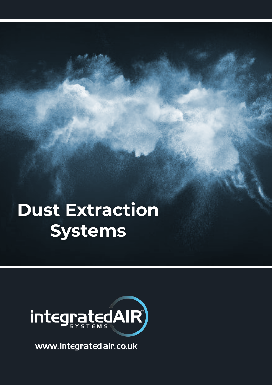## **Dust Extraction Systems**



www.integratedair.co.uk